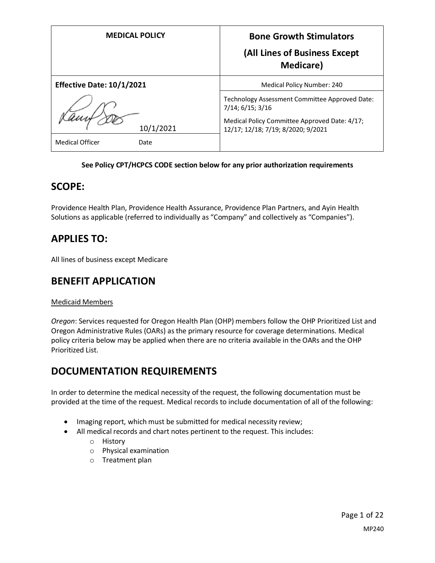| <b>MEDICAL POLICY</b>            | <b>Bone Growth Stimulators</b><br>(All Lines of Business Except<br><b>Medicare</b> )                                                                      |
|----------------------------------|-----------------------------------------------------------------------------------------------------------------------------------------------------------|
| <b>Effective Date: 10/1/2021</b> | Medical Policy Number: 240                                                                                                                                |
| 10/1/2021                        | Technology Assessment Committee Approved Date:<br>7/14; 6/15; 3/16<br>Medical Policy Committee Approved Date: 4/17;<br>12/17; 12/18; 7/19; 8/2020; 9/2021 |
| <b>Medical Officer</b><br>Date   |                                                                                                                                                           |

#### **See Policy CPT/HCPCS CODE section below for any prior authorization requirements**

## **SCOPE:**

Providence Health Plan, Providence Health Assurance, Providence Plan Partners, and Ayin Health Solutions as applicable (referred to individually as "Company" and collectively as "Companies").

## **APPLIES TO:**

All lines of business except Medicare

# **BENEFIT APPLICATION**

#### Medicaid Members

*Oregon*: Services requested for Oregon Health Plan (OHP) members follow the OHP Prioritized List and Oregon Administrative Rules (OARs) as the primary resource for coverage determinations. Medical policy criteria below may be applied when there are no criteria available in the OARs and the OHP Prioritized List.

# **DOCUMENTATION REQUIREMENTS**

In order to determine the medical necessity of the request, the following documentation must be provided at the time of the request. Medical records to include documentation of all of the following:

- Imaging report, which must be submitted for medical necessity review;
- All medical records and chart notes pertinent to the request. This includes:
	- o History
	- o Physical examination
	- o Treatment plan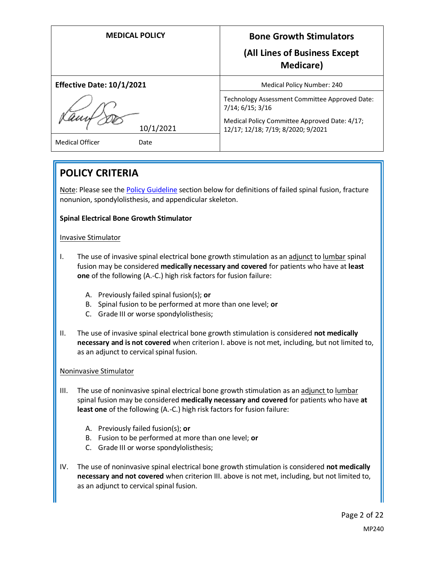| <b>MEDICAL POLICY</b>            | <b>Bone Growth Stimulators</b><br>(All Lines of Business Except<br><b>Medicare</b> )                                                                      |
|----------------------------------|-----------------------------------------------------------------------------------------------------------------------------------------------------------|
| <b>Effective Date: 10/1/2021</b> | Medical Policy Number: 240                                                                                                                                |
| 10/1/2021                        | Technology Assessment Committee Approved Date:<br>7/14; 6/15; 3/16<br>Medical Policy Committee Approved Date: 4/17;<br>12/17; 12/18; 7/19; 8/2020; 9/2021 |
| <b>Medical Officer</b><br>Date   |                                                                                                                                                           |
|                                  |                                                                                                                                                           |

# **POLICY CRITERIA**

Note: Please see the [Policy Guideline](#page-3-0) section below for definitions of failed spinal fusion, fracture nonunion, spondylolisthesis, and appendicular skeleton.

### **Spinal Electrical Bone Growth Stimulator**

#### Invasive Stimulator

- I. The use of invasive spinal electrical bone growth stimulation as an adjunct to lumbar spinal fusion may be considered **medically necessary and covered** for patients who have at **least one** of the following (A.-C.) high risk factors for fusion failure:
	- A. Previously failed spinal fusion(s); **or**
	- B. Spinal fusion to be performed at more than one level; **or**
	- C. Grade III or worse spondylolisthesis;
- II. The use of invasive spinal electrical bone growth stimulation is considered **not medically necessary and is not covered** when criterion I. above is not met, including, but not limited to, as an adjunct to cervical spinal fusion.

#### Noninvasive Stimulator

- III. The use of noninvasive spinal electrical bone growth stimulation as an adjunct to lumbar spinal fusion may be considered **medically necessary and covered** for patients who have **at least one** of the following (A.-C.) high risk factors for fusion failure:
	- A. Previously failed fusion(s); **or**
	- B. Fusion to be performed at more than one level; **or**
	- C. Grade III or worse spondylolisthesis;
- IV. The use of noninvasive spinal electrical bone growth stimulation is considered **not medically necessary and not covered** when criterion III. above is not met, including, but not limited to, as an adjunct to cervical spinal fusion.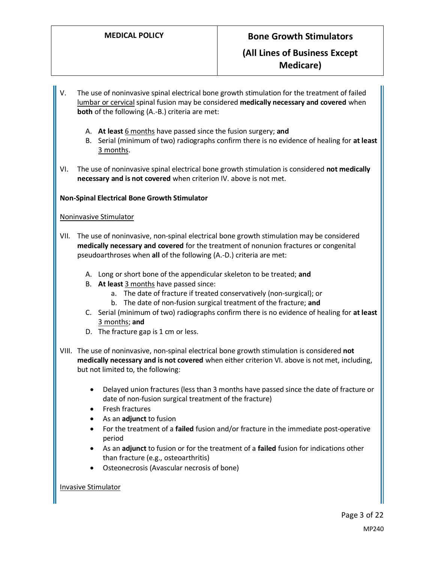- V. The use of noninvasive spinal electrical bone growth stimulation for the treatment of failed lumbar or cervical spinal fusion may be considered **medically necessary and covered** when **both** of the following (A.-B.) criteria are met:
	- A. **At least** 6 months have passed since the fusion surgery; **and**
	- B. Serial (minimum of two) radiographs confirm there is no evidence of healing for **at least** 3 months.
- VI. The use of noninvasive spinal electrical bone growth stimulation is considered **not medically necessary and is not covered** when criterion IV. above is not met.

#### **Non-Spinal Electrical Bone Growth Stimulator**

#### Noninvasive Stimulator

- VII. The use of noninvasive, non-spinal electrical bone growth stimulation may be considered **medically necessary and covered** for the treatment of nonunion fractures or congenital pseudoarthroses when **all** of the following (A.-D.) criteria are met:
	- A. Long or short bone of the appendicular skeleton to be treated; **and**
	- B. **At least** 3 months have passed since:
		- a. The date of fracture if treated conservatively (non-surgical); or
		- b. The date of non-fusion surgical treatment of the fracture; **and**
	- C. Serial (minimum of two) radiographs confirm there is no evidence of healing for **at least** 3 months; **and**
	- D. The fracture gap is 1 cm or less.
- VIII. The use of noninvasive, non-spinal electrical bone growth stimulation is considered **not medically necessary and is not covered** when either criterion VI. above is not met, including, but not limited to, the following:
	- Delayed union fractures (less than 3 months have passed since the date of fracture or date of non-fusion surgical treatment of the fracture)
	- Fresh fractures
	- As an **adjunct** to fusion
	- For the treatment of a **failed** fusion and/or fracture in the immediate post-operative period
	- As an **adjunct** to fusion or for the treatment of a **failed** fusion for indications other than fracture (e.g., osteoarthritis)
	- Osteonecrosis (Avascular necrosis of bone)

#### Invasive Stimulator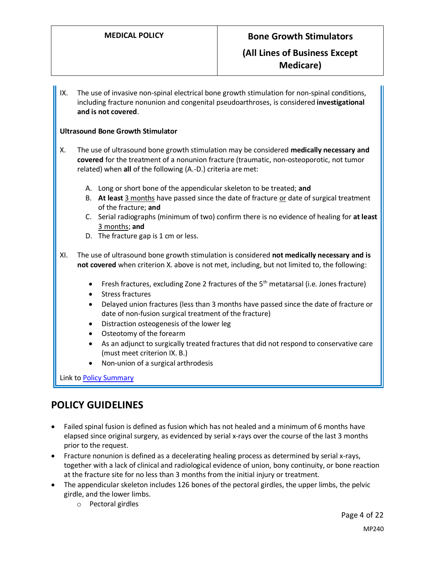IX. The use of invasive non-spinal electrical bone growth stimulation for non-spinal conditions, including fracture nonunion and congenital pseudoarthroses, is considered **investigational and is not covered**.

#### **Ultrasound Bone Growth Stimulator**

- X. The use of ultrasound bone growth stimulation may be considered **medically necessary and covered** for the treatment of a nonunion fracture (traumatic, non-osteoporotic, not tumor related) when **all** of the following (A.-D.) criteria are met:
	- A. Long or short bone of the appendicular skeleton to be treated; **and**
	- B. **At least** 3 months have passed since the date of fracture or date of surgical treatment of the fracture; **and**
	- C. Serial radiographs (minimum of two) confirm there is no evidence of healing for **at least** 3 months; **and**
	- D. The fracture gap is 1 cm or less.
- XI. The use of ultrasound bone growth stimulation is considered **not medically necessary and is not covered** when criterion X. above is not met, including, but not limited to, the following:
	- Fresh fractures, excluding Zone 2 fractures of the  $5<sup>th</sup>$  metatarsal (i.e. Jones fracture)
	- Stress fractures
	- Delayed union fractures (less than 3 months have passed since the date of fracture or date of non-fusion surgical treatment of the fracture)
	- Distraction osteogenesis of the lower leg
	- Osteotomy of the forearm
	- As an adjunct to surgically treated fractures that did not respond to conservative care (must meet criterion IX. B.)
	- Non-union of a surgical arthrodesis

Link t[o Policy Summary](#page-15-0)

## <span id="page-3-0"></span>**POLICY GUIDELINES**

- Failed spinal fusion is defined as fusion which has not healed and a minimum of 6 months have elapsed since original surgery, as evidenced by serial x-rays over the course of the last 3 months prior to the request.
- Fracture nonunion is defined as a decelerating healing process as determined by serial x-rays, together with a lack of clinical and radiological evidence of union, bony continuity, or bone reaction at the fracture site for no less than 3 months from the initial injury or treatment.
- The appendicular skeleton includes 126 bones of the pectoral girdles, the upper limbs, the pelvic girdle, and the lower limbs.
	- o Pectoral girdles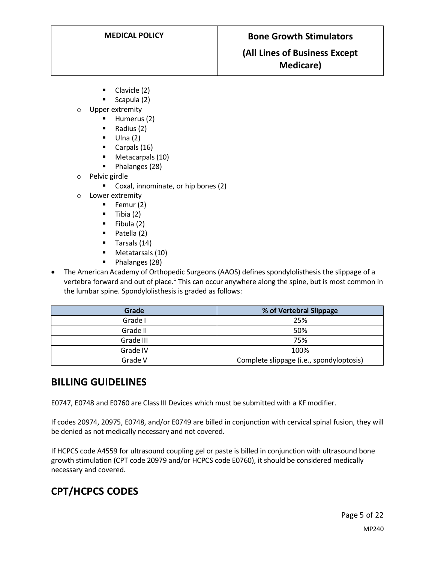## **(All Lines of Business Except Medicare)**

- Clavicle (2)
- $Scapula(2)$
- o Upper extremity
	- **Humerus (2)**
	- $\blacksquare$  Radius (2)
	- $\blacksquare$  Ulna (2)
	- Carpals (16)
	- **Metacarpals (10)**
	- $\blacksquare$  Phalanges (28)
- o Pelvic girdle
	- **Coxal, innominate, or hip bones (2)**
- o Lower extremity
	- $\blacksquare$  Femur (2)
	- $\blacksquare$  Tibia (2)
	- $\blacksquare$  Fibula (2)
	- $\blacksquare$  Patella (2)
	- **Tarsals (14)**
	- Metatarsals (10)
	- Phalanges (28)
- The American Academy of Orthopedic Surgeons (AAOS) defines spondylolisthesis the slippage of a vertebra forward and out of place.<sup>1</sup> This can occur anywhere along the spine, but is most common in the lumbar spine. Spondylolisthesis is graded as follows:

| Grade     | % of Vertebral Slippage                  |
|-----------|------------------------------------------|
| Grade I   | 25%                                      |
| Grade II  | 50%                                      |
| Grade III | 75%                                      |
| Grade IV  | 100%                                     |
| Grade V   | Complete slippage (i.e., spondyloptosis) |

## **BILLING GUIDELINES**

E0747, E0748 and E0760 are Class III Devices which must be submitted with a KF modifier.

If codes 20974, 20975, E0748, and/or E0749 are billed in conjunction with cervical spinal fusion, they will be denied as not medically necessary and not covered.

If HCPCS code A4559 for ultrasound coupling gel or paste is billed in conjunction with ultrasound bone growth stimulation (CPT code 20979 and/or HCPCS code E0760), it should be considered medically necessary and covered.

# **CPT/HCPCS CODES**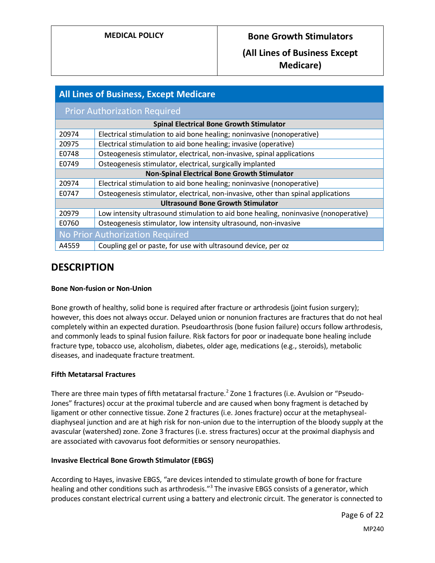## **(All Lines of Business Except Medicare)**

| <b>All Lines of Business, Except Medicare</b> |                                                                                      |  |
|-----------------------------------------------|--------------------------------------------------------------------------------------|--|
|                                               | <b>Prior Authorization Required</b>                                                  |  |
|                                               | <b>Spinal Electrical Bone Growth Stimulator</b>                                      |  |
| 20974                                         | Electrical stimulation to aid bone healing; noninvasive (nonoperative)               |  |
| 20975                                         | Electrical stimulation to aid bone healing; invasive (operative)                     |  |
| E0748                                         | Osteogenesis stimulator, electrical, non-invasive, spinal applications               |  |
| E0749                                         | Osteogenesis stimulator, electrical, surgically implanted                            |  |
|                                               | <b>Non-Spinal Electrical Bone Growth Stimulator</b>                                  |  |
| 20974                                         | Electrical stimulation to aid bone healing; noninvasive (nonoperative)               |  |
| E0747                                         | Osteogenesis stimulator, electrical, non-invasive, other than spinal applications    |  |
| <b>Ultrasound Bone Growth Stimulator</b>      |                                                                                      |  |
| 20979                                         | Low intensity ultrasound stimulation to aid bone healing, noninvasive (nonoperative) |  |
| E0760                                         | Osteogenesis stimulator, low intensity ultrasound, non-invasive                      |  |
| No Prior Authorization Required               |                                                                                      |  |
| A4559                                         | Coupling gel or paste, for use with ultrasound device, per oz                        |  |

# **DESCRIPTION**

#### **Bone Non-fusion or Non-Union**

Bone growth of healthy, solid bone is required after fracture or arthrodesis (joint fusion surgery); however, this does not always occur. Delayed union or nonunion fractures are fractures that do not heal completely within an expected duration. Pseudoarthrosis (bone fusion failure) occurs follow arthrodesis, and commonly leads to spinal fusion failure. Risk factors for poor or inadequate bone healing include fracture type, tobacco use, alcoholism, diabetes, older age, medications (e.g., steroids), metabolic diseases, and inadequate fracture treatment.

#### **Fifth Metatarsal Fractures**

There are three main types of fifth metatarsal fracture.<sup>2</sup> Zone 1 fractures (i.e. Avulsion or "Pseudo-Jones" fractures) occur at the proximal tubercle and are caused when bony fragment is detached by ligament or other connective tissue. Zone 2 fractures (i.e. Jones fracture) occur at the metaphysealdiaphyseal junction and are at high risk for non-union due to the interruption of the bloody supply at the avascular (watershed) zone. Zone 3 fractures (i.e. stress fractures) occur at the proximal diaphysis and are associated with cavovarus foot deformities or sensory neuropathies.

#### **Invasive Electrical Bone Growth Stimulator (EBGS)**

According to Hayes, invasive EBGS, "are devices intended to stimulate growth of bone for fracture healing and other conditions such as arthrodesis."<sup>3</sup> The invasive EBGS consists of a generator, which produces constant electrical current using a battery and electronic circuit. The generator is connected to

> Page 6 of 22 MP240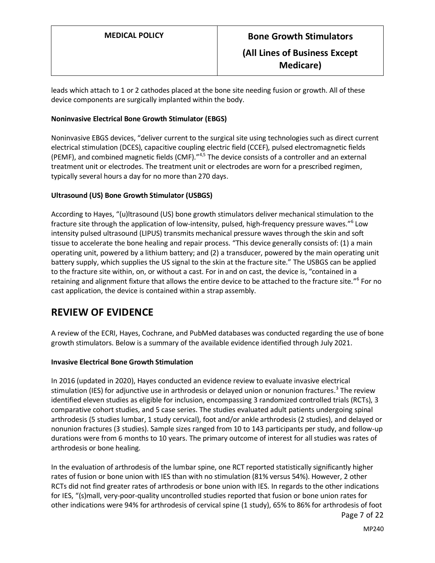leads which attach to 1 or 2 cathodes placed at the bone site needing fusion or growth. All of these device components are surgically implanted within the body.

#### **Noninvasive Electrical Bone Growth Stimulator (EBGS)**

Noninvasive EBGS devices, "deliver current to the surgical site using technologies such as direct current electrical stimulation (DCES), capacitive coupling electric field (CCEF), pulsed electromagnetic fields (PEMF), and combined magnetic fields (CMF)."4,5 The device consists of a controller and an external treatment unit or electrodes. The treatment unit or electrodes are worn for a prescribed regimen, typically several hours a day for no more than 270 days.

#### **Ultrasound (US) Bone Growth Stimulator (USBGS)**

According to Hayes, "(u)ltrasound (US) bone growth stimulators deliver mechanical stimulation to the fracture site through the application of low-intensity, pulsed, high-frequency pressure waves."<sup>6</sup> Low intensity pulsed ultrasound (LIPUS) transmits mechanical pressure waves through the skin and soft tissue to accelerate the bone healing and repair process. "This device generally consists of: (1) a main operating unit, powered by a lithium battery; and (2) a transducer, powered by the main operating unit battery supply, which supplies the US signal to the skin at the fracture site." The USBGS can be applied to the fracture site within, on, or without a cast. For in and on cast, the device is, "contained in a retaining and alignment fixture that allows the entire device to be attached to the fracture site."<sup>6</sup> For no cast application, the device is contained within a strap assembly.

## **REVIEW OF EVIDENCE**

A review of the ECRI, Hayes, Cochrane, and PubMed databases was conducted regarding the use of bone growth stimulators. Below is a summary of the available evidence identified through July 2021.

#### **Invasive Electrical Bone Growth Stimulation**

In 2016 (updated in 2020), Hayes conducted an evidence review to evaluate invasive electrical stimulation (IES) for adjunctive use in arthrodesis or delayed union or nonunion fractures.<sup>3</sup> The review identified eleven studies as eligible for inclusion, encompassing 3 randomized controlled trials (RCTs), 3 comparative cohort studies, and 5 case series. The studies evaluated adult patients undergoing spinal arthrodesis (5 studies lumbar, 1 study cervical), foot and/or ankle arthrodesis (2 studies), and delayed or nonunion fractures (3 studies). Sample sizes ranged from 10 to 143 participants per study, and follow-up durations were from 6 months to 10 years. The primary outcome of interest for all studies was rates of arthrodesis or bone healing.

Page 7 of 22 In the evaluation of arthrodesis of the lumbar spine, one RCT reported statistically significantly higher rates of fusion or bone union with IES than with no stimulation (81% versus 54%). However, 2 other RCTs did not find greater rates of arthrodesis or bone union with IES. In regards to the other indications for IES, "(s)mall, very-poor-quality uncontrolled studies reported that fusion or bone union rates for other indications were 94% for arthrodesis of cervical spine (1 study), 65% to 86% for arthrodesis of foot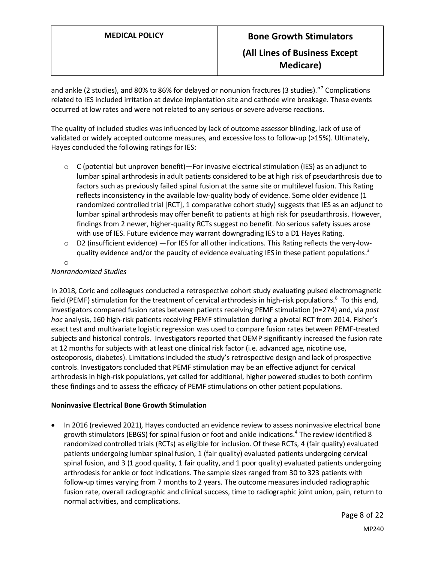# **MEDICAL POLICY Bone Growth Stimulators (All Lines of Business Except Medicare)**

and ankle (2 studies), and 80% to 86% for delayed or nonunion fractures (3 studies)."<sup>7</sup> Complications related to IES included irritation at device implantation site and cathode wire breakage. These events occurred at low rates and were not related to any serious or severe adverse reactions.

The quality of included studies was influenced by lack of outcome assessor blinding, lack of use of validated or widely accepted outcome measures, and excessive loss to follow-up (>15%). Ultimately, Hayes concluded the following ratings for IES:

- $\circ$  C (potential but unproven benefit)—For invasive electrical stimulation (IES) as an adjunct to lumbar spinal arthrodesis in adult patients considered to be at high risk of pseudarthrosis due to factors such as previously failed spinal fusion at the same site or multilevel fusion. This Rating reflects inconsistency in the available low-quality body of evidence. Some older evidence (1 randomized controlled trial [RCT], 1 comparative cohort study) suggests that IES as an adjunct to lumbar spinal arthrodesis may offer benefit to patients at high risk for pseudarthrosis. However, findings from 2 newer, higher-quality RCTs suggest no benefit. No serious safety issues arose with use of IES. Future evidence may warrant downgrading IES to a D1 Hayes Rating.
- $\circ$  D2 (insufficient evidence) —For IES for all other indications. This Rating reflects the very-lowquality evidence and/or the paucity of evidence evaluating IES in these patient populations.<sup>3</sup>
- o

#### *Nonrandomized Studies*

In 2018, Coric and colleagues conducted a retrospective cohort study evaluating pulsed electromagnetic field (PEMF) stimulation for the treatment of cervical arthrodesis in high-risk populations.<sup>8</sup> To this end, investigators compared fusion rates between patients receiving PEMF stimulation (n=274) and, via *post hoc* analysis, 160 high-risk patients receiving PEMF stimulation during a pivotal RCT from 2014. Fisher's exact test and multivariate logistic regression was used to compare fusion rates between PEMF-treated subjects and historical controls. Investigators reported that OEMP significantly increased the fusion rate at 12 months for subjects with at least one clinical risk factor (i.e. advanced age, nicotine use, osteoporosis, diabetes). Limitations included the study's retrospective design and lack of prospective controls. Investigators concluded that PEMF stimulation may be an effective adjunct for cervical arthrodesis in high-risk populations, yet called for additional, higher powered studies to both confirm these findings and to assess the efficacy of PEMF stimulations on other patient populations.

#### **Noninvasive Electrical Bone Growth Stimulation**

 In 2016 (reviewed 2021), Hayes conducted an evidence review to assess noninvasive electrical bone growth stimulators (EBGS) for spinal fusion or foot and ankle indications. 4 The review identified 8 randomized controlled trials (RCTs) as eligible for inclusion. Of these RCTs, 4 (fair quality) evaluated patients undergoing lumbar spinal fusion, 1 (fair quality) evaluated patients undergoing cervical spinal fusion, and 3 (1 good quality, 1 fair quality, and 1 poor quality) evaluated patients undergoing arthrodesis for ankle or foot indications. The sample sizes ranged from 30 to 323 patients with follow-up times varying from 7 months to 2 years. The outcome measures included radiographic fusion rate, overall radiographic and clinical success, time to radiographic joint union, pain, return to normal activities, and complications.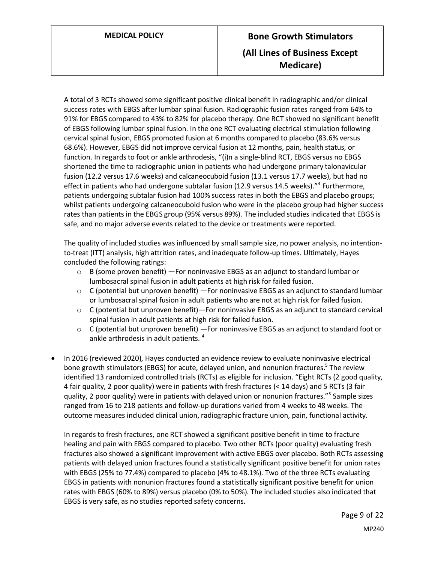A total of 3 RCTs showed some significant positive clinical benefit in radiographic and/or clinical success rates with EBGS after lumbar spinal fusion. Radiographic fusion rates ranged from 64% to 91% for EBGS compared to 43% to 82% for placebo therapy. One RCT showed no significant benefit of EBGS following lumbar spinal fusion. In the one RCT evaluating electrical stimulation following cervical spinal fusion, EBGS promoted fusion at 6 months compared to placebo (83.6% versus 68.6%). However, EBGS did not improve cervical fusion at 12 months, pain, health status, or function. In regards to foot or ankle arthrodesis, "(i)n a single-blind RCT, EBGS versus no EBGS shortened the time to radiographic union in patients who had undergone primary talonavicular fusion (12.2 versus 17.6 weeks) and calcaneocuboid fusion (13.1 versus 17.7 weeks), but had no effect in patients who had undergone subtalar fusion (12.9 versus 14.5 weeks)."<sup>4</sup> Furthermore, patients undergoing subtalar fusion had 100% success rates in both the EBGS and placebo groups; whilst patients undergoing calcaneocuboid fusion who were in the placebo group had higher success rates than patients in the EBGS group (95% versus 89%). The included studies indicated that EBGS is safe, and no major adverse events related to the device or treatments were reported.

The quality of included studies was influenced by small sample size, no power analysis, no intentionto-treat (ITT) analysis, high attrition rates, and inadequate follow-up times. Ultimately, Hayes concluded the following ratings:

- $\circ$  B (some proven benefit) For noninvasive EBGS as an adjunct to standard lumbar or lumbosacral spinal fusion in adult patients at high risk for failed fusion.
- $\circ$  C (potential but unproven benefit) For noninvasive EBGS as an adjunct to standard lumbar or lumbosacral spinal fusion in adult patients who are not at high risk for failed fusion.
- $\circ$  C (potential but unproven benefit)—For noninvasive EBGS as an adjunct to standard cervical spinal fusion in adult patients at high risk for failed fusion.
- $\circ$  C (potential but unproven benefit) For noninvasive EBGS as an adjunct to standard foot or ankle arthrodesis in adult patients.<sup>4</sup>
- In 2016 (reviewed 2020), Hayes conducted an evidence review to evaluate noninvasive electrical bone growth stimulators (EBGS) for acute, delayed union, and nonunion fractures.<sup>5</sup> The review identified 13 randomized controlled trials (RCTs) as eligible for inclusion. "Eight RCTs (2 good quality, 4 fair quality, 2 poor quality) were in patients with fresh fractures (< 14 days) and 5 RCTs (3 fair quality, 2 poor quality) were in patients with delayed union or nonunion fractures."<sup>5</sup> Sample sizes ranged from 16 to 218 patients and follow-up durations varied from 4 weeks to 48 weeks. The outcome measures included clinical union, radiographic fracture union, pain, functional activity.

In regards to fresh fractures, one RCT showed a significant positive benefit in time to fracture healing and pain with EBGS compared to placebo. Two other RCTs (poor quality) evaluating fresh fractures also showed a significant improvement with active EBGS over placebo. Both RCTs assessing patients with delayed union fractures found a statistically significant positive benefit for union rates with EBGS (25% to 77.4%) compared to placebo (4% to 48.1%). Two of the three RCTs evaluating EBGS in patients with nonunion fractures found a statistically significant positive benefit for union rates with EBGS (60% to 89%) versus placebo (0% to 50%). The included studies also indicated that EBGS is very safe, as no studies reported safety concerns.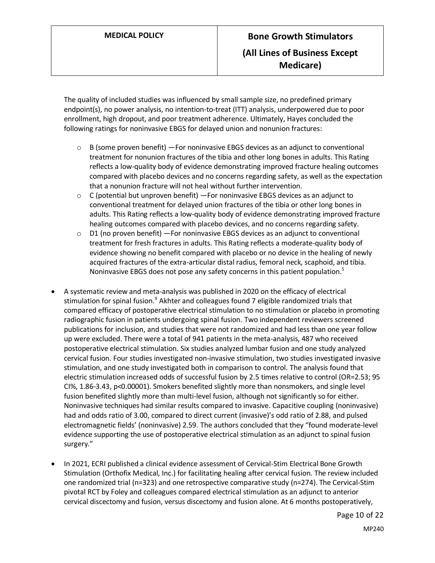The quality of included studies was influenced by small sample size, no predefined primary endpoint(s), no power analysis, no intention-to-treat (ITT) analysis, underpowered due to poor enrollment, high dropout, and poor treatment adherence. Ultimately, Hayes concluded the following ratings for noninvasive EBGS for delayed union and nonunion fractures:

- $\circ$  B (some proven benefit) —For noninvasive EBGS devices as an adjunct to conventional treatment for nonunion fractures of the tibia and other long bones in adults. This Rating reflects a low-quality body of evidence demonstrating improved fracture healing outcomes compared with placebo devices and no concerns regarding safety, as well as the expectation that a nonunion fracture will not heal without further intervention.
- $\circ$  C (potential but unproven benefit) —For noninvasive EBGS devices as an adjunct to conventional treatment for delayed union fractures of the tibia or other long bones in adults. This Rating reflects a low-quality body of evidence demonstrating improved fracture healing outcomes compared with placebo devices, and no concerns regarding safety.
- $\circ$  D1 (no proven benefit) For noninvasive EBGS devices as an adjunct to conventional treatment for fresh fractures in adults. This Rating reflects a moderate-quality body of evidence showing no benefit compared with placebo or no device in the healing of newly acquired fractures of the extra-articular distal radius, femoral neck, scaphoid, and tibia. Noninvasive EBGS does not pose any safety concerns in this patient population.<sup>5</sup>
- A systematic review and meta-analysis was published in 2020 on the efficacy of electrical stimulation for spinal fusion.<sup>9</sup> Akhter and colleagues found 7 eligible randomized trials that compared efficacy of postoperative electrical stimulation to no stimulation or placebo in promoting radiographic fusion in patients undergoing spinal fusion. Two independent reviewers screened publications for inclusion, and studies that were not randomized and had less than one year follow up were excluded. There were a total of 941 patients in the meta-analysis, 487 who received postoperative electrical stimulation. Six studies analyzed lumbar fusion and one study analyzed cervical fusion. Four studies investigated non-invasive stimulation, two studies investigated invasive stimulation, and one study investigated both in comparison to control. The analysis found that electric stimulation increased odds of successful fusion by 2.5 times relative to control (OR=2.53; 95 CI%, 1.86-3.43, p<0.00001). Smokers benefited slightly more than nonsmokers, and single level fusion benefited slightly more than multi-level fusion, although not significantly so for either. Noninvasive techniques had similar results compared to invasive. Capacitive coupling (noninvasive) had and odds ratio of 3.00, compared to direct current (invasive)'s odd ratio of 2.88, and pulsed electromagnetic fields' (noninvasive) 2.59. The authors concluded that they "found moderate-level evidence supporting the use of postoperative electrical stimulation as an adjunct to spinal fusion surgery."
- In 2021, ECRI published a clinical evidence assessment of Cervical-Stim Electrical Bone Growth Stimulation (Orthofix Medical, Inc.) for facilitating healing after cervical fusion. The review included one randomized trial (n=323) and one retrospective comparative study (n=274). The Cervical-Stim pivotal RCT by Foley and colleagues compared electrical stimulation as an adjunct to anterior cervical discectomy and fusion, versus discectomy and fusion alone. At 6 months postoperatively,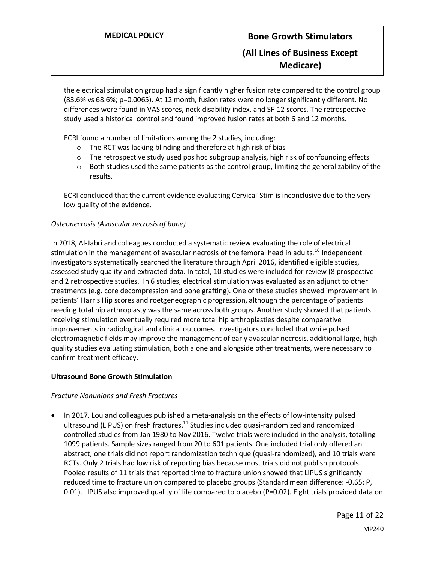the electrical stimulation group had a significantly higher fusion rate compared to the control group (83.6% vs 68.6%; p=0.0065). At 12 month, fusion rates were no longer significantly different. No differences were found in VAS scores, neck disability index, and SF-12 scores. The retrospective study used a historical control and found improved fusion rates at both 6 and 12 months.

ECRI found a number of limitations among the 2 studies, including:

- o The RCT was lacking blinding and therefore at high risk of bias
- $\circ$  The retrospective study used pos hoc subgroup analysis, high risk of confounding effects
- $\circ$  Both studies used the same patients as the control group, limiting the generalizability of the results.

ECRI concluded that the current evidence evaluating Cervical-Stim is inconclusive due to the very low quality of the evidence.

#### *Osteonecrosis (Avascular necrosis of bone)*

In 2018, Al-Jabri and colleagues conducted a systematic review evaluating the role of electrical stimulation in the management of avascular necrosis of the femoral head in adults.<sup>10</sup> Independent investigators systematically searched the literature through April 2016, identified eligible studies, assessed study quality and extracted data. In total, 10 studies were included for review (8 prospective and 2 retrospective studies. In 6 studies, electrical stimulation was evaluated as an adjunct to other treatments (e.g. core decompression and bone grafting). One of these studies showed improvement in patients' Harris Hip scores and roetgeneographic progression, although the percentage of patients needing total hip arthroplasty was the same across both groups. Another study showed that patients receiving stimulation eventually required more total hip arthroplasties despite comparative improvements in radiological and clinical outcomes. Investigators concluded that while pulsed electromagnetic fields may improve the management of early avascular necrosis, additional large, highquality studies evaluating stimulation, both alone and alongside other treatments, were necessary to confirm treatment efficacy.

#### **Ultrasound Bone Growth Stimulation**

#### *Fracture Nonunions and Fresh Fractures*

 In 2017, Lou and colleagues published a meta-analysis on the effects of low-intensity pulsed ultrasound (LIPUS) on fresh fractures.<sup>11</sup> Studies included quasi-randomized and randomized controlled studies from Jan 1980 to Nov 2016. Twelve trials were included in the analysis, totalling 1099 patients. Sample sizes ranged from 20 to 601 patients. One included trial only offered an abstract, one trials did not report randomization technique (quasi-randomized), and 10 trials were RCTs. Only 2 trials had low risk of reporting bias because most trials did not publish protocols. Pooled results of 11 trials that reported time to fracture union showed that LIPUS significantly reduced time to fracture union compared to placebo groups (Standard mean difference: -0.65; P, 0.01). LIPUS also improved quality of life compared to placebo (P=0.02). Eight trials provided data on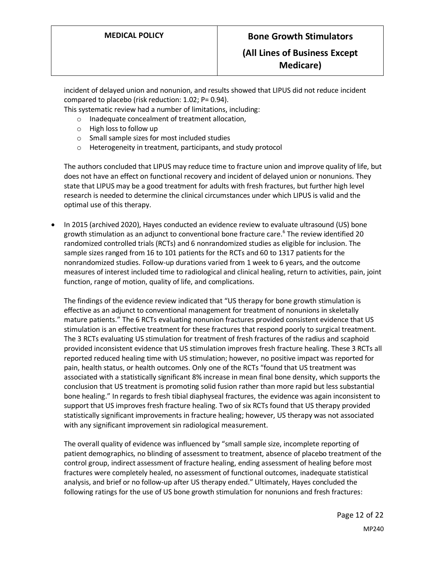## **(All Lines of Business Except Medicare)**

incident of delayed union and nonunion, and results showed that LIPUS did not reduce incident compared to placebo (risk reduction: 1.02; P= 0.94).

This systematic review had a number of limitations, including:

- o Inadequate concealment of treatment allocation,
- o High loss to follow up
- o Small sample sizes for most included studies
- o Heterogeneity in treatment, participants, and study protocol

The authors concluded that LIPUS may reduce time to fracture union and improve quality of life, but does not have an effect on functional recovery and incident of delayed union or nonunions. They state that LIPUS may be a good treatment for adults with fresh fractures, but further high level research is needed to determine the clinical circumstances under which LIPUS is valid and the optimal use of this therapy.

 In 2015 (archived 2020), Hayes conducted an evidence review to evaluate ultrasound (US) bone growth stimulation as an adjunct to conventional bone fracture care. 6 The review identified 20 randomized controlled trials (RCTs) and 6 nonrandomized studies as eligible for inclusion. The sample sizes ranged from 16 to 101 patients for the RCTs and 60 to 1317 patients for the nonrandomized studies. Follow-up durations varied from 1 week to 6 years, and the outcome measures of interest included time to radiological and clinical healing, return to activities, pain, joint function, range of motion, quality of life, and complications.

The findings of the evidence review indicated that "US therapy for bone growth stimulation is effective as an adjunct to conventional management for treatment of nonunions in skeletally mature patients." The 6 RCTs evaluating nonunion fractures provided consistent evidence that US stimulation is an effective treatment for these fractures that respond poorly to surgical treatment. The 3 RCTs evaluating US stimulation for treatment of fresh fractures of the radius and scaphoid provided inconsistent evidence that US stimulation improves fresh fracture healing. These 3 RCTs all reported reduced healing time with US stimulation; however, no positive impact was reported for pain, health status, or health outcomes. Only one of the RCTs "found that US treatment was associated with a statistically significant 8% increase in mean final bone density, which supports the conclusion that US treatment is promoting solid fusion rather than more rapid but less substantial bone healing." In regards to fresh tibial diaphyseal fractures, the evidence was again inconsistent to support that US improves fresh fracture healing. Two of six RCTs found that US therapy provided statistically significant improvements in fracture healing; however, US therapy was not associated with any significant improvement sin radiological measurement.

The overall quality of evidence was influenced by "small sample size, incomplete reporting of patient demographics, no blinding of assessment to treatment, absence of placebo treatment of the control group, indirect assessment of fracture healing, ending assessment of healing before most fractures were completely healed, no assessment of functional outcomes, inadequate statistical analysis, and brief or no follow-up after US therapy ended." Ultimately, Hayes concluded the following ratings for the use of US bone growth stimulation for nonunions and fresh fractures: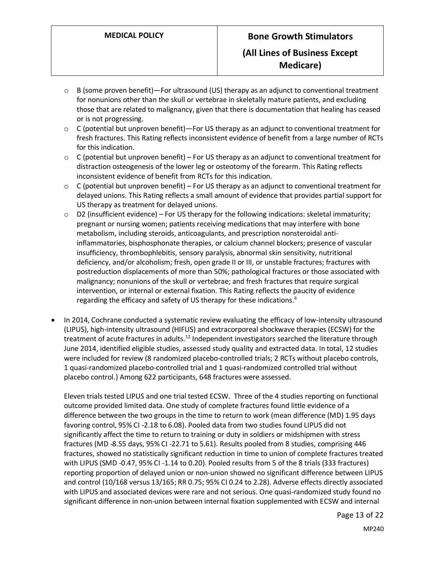- $\circ$  B (some proven benefit)—For ultrasound (US) therapy as an adjunct to conventional treatment for nonunions other than the skull or vertebrae in skeletally mature patients, and excluding those that are related to malignancy, given that there is documentation that healing has ceased or is not progressing.
- $\circ$  C (potential but unproven benefit)—For US therapy as an adjunct to conventional treatment for fresh fractures. This Rating reflects inconsistent evidence of benefit from a large number of RCTs for this indication.
- $\circ$  C (potential but unproven benefit) For US therapy as an adjunct to conventional treatment for distraction osteogenesis of the lower leg or osteotomy of the forearm. This Rating reflects inconsistent evidence of benefit from RCTs for this indication.
- $\circ$  C (potential but unproven benefit) For US therapy as an adjunct to conventional treatment for delayed unions. This Rating reflects a small amount of evidence that provides partial support for US therapy as treatment for delayed unions.
- $\circ$  D2 (insufficient evidence) For US therapy for the following indications: skeletal immaturity; pregnant or nursing women; patients receiving medications that may interfere with bone metabolism, including steroids, anticoagulants, and prescription nonsteroidal antiinflammatories, bisphosphonate therapies, or calcium channel blockers; presence of vascular insufficiency, thrombophlebitis, sensory paralysis, abnormal skin sensitivity, nutritional deficiency, and/or alcoholism; fresh, open grade II or III, or unstable fractures; fractures with postreduction displacements of more than 50%; pathological fractures or those associated with malignancy; nonunions of the skull or vertebrae; and fresh fractures that require surgical intervention, or internal or external fixation. This Rating reflects the paucity of evidence regarding the efficacy and safety of US therapy for these indications.<sup>6</sup>
- In 2014, Cochrane conducted a systematic review evaluating the efficacy of low-intensity ultrasound (LIPUS), high-intensity ultrasound (HIFUS) and extracorporeal shockwave therapies (ECSW) for the treatment of acute fractures in adults.<sup>12</sup> Independent investigators searched the literature through June 2014, identified eligible studies, assessed study quality and extracted data. In total, 12 studies were included for review (8 randomized placebo-controlled trials; 2 RCTs without placebo controls, 1 quasi-randomized placebo-controlled trial and 1 quasi-randomized controlled trial without placebo control.) Among 622 participants, 648 fractures were assessed.

Eleven trials tested LIPUS and one trial tested ECSW. Three of the 4 studies reporting on functional outcome provided limited data. One study of complete fractures found little evidence of a difference between the two groups in the time to return to work (mean difference (MD) 1.95 days favoring control, 95% CI ‐2.18 to 6.08). Pooled data from two studies found LIPUS did not significantly affect the time to return to training or duty in soldiers or midshipmen with stress fractures (MD ‐8.55 days, 95% CI ‐22.71 to 5.61). Results pooled from 8 studies, comprising 446 fractures, showed no statistically significant reduction in time to union of complete fractures treated with LIPUS (SMD ‐0.47, 95% CI ‐1.14 to 0.20). Pooled results from 5 of the 8 trials (333 fractures) reporting proportion of delayed union or non‐union showed no significant difference between LIPUS and control (10/168 versus 13/165; RR 0.75; 95% CI 0.24 to 2.28). Adverse effects directly associated with LIPUS and associated devices were rare and not serious. One quasi-randomized study found no significant difference in non-union between internal fixation supplemented with ECSW and internal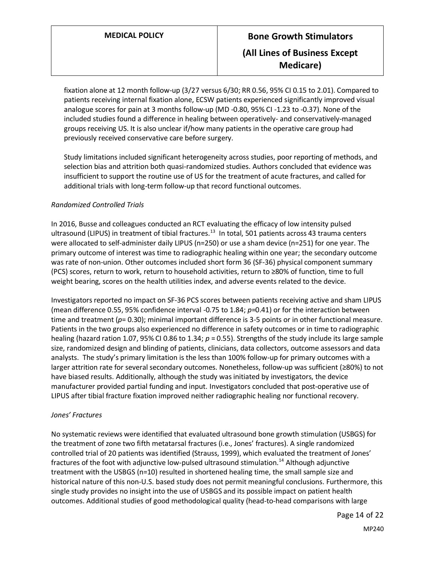fixation alone at 12 month follow-up (3/27 versus 6/30; RR 0.56, 95% CI 0.15 to 2.01). Compared to patients receiving internal fixation alone, ECSW patients experienced significantly improved visual analogue scores for pain at 3 months follow‐up (MD ‐0.80, 95% CI ‐1.23 to ‐0.37). None of the included studies found a difference in healing between operatively- and conservatively-managed groups receiving US. It is also unclear if/how many patients in the operative care group had previously received conservative care before surgery.

Study limitations included significant heterogeneity across studies, poor reporting of methods, and selection bias and attrition both quasi-randomized studies. Authors concluded that evidence was insufficient to support the routine use of US for the treatment of acute fractures, and called for additional trials with long-term follow-up that record functional outcomes.

#### *Randomized Controlled Trials*

In 2016, Busse and colleagues conducted an RCT evaluating the efficacy of low intensity pulsed ultrasound (LIPUS) in treatment of tibial fractures.<sup>13</sup> In total, 501 patients across 43 trauma centers were allocated to self-administer daily LIPUS (n=250) or use a sham device (n=251) for one year. The primary outcome of interest was time to radiographic healing within one year; the secondary outcome was rate of non-union. Other outcomes included short form 36 (SF-36) physical component summary (PCS) scores, return to work, return to household activities, return to ≥80% of function, time to full weight bearing, scores on the health utilities index, and adverse events related to the device.

Investigators reported no impact on SF-36 PCS scores between patients receiving active and sham LIPUS (mean difference 0.55, 95% confidence interval -0.75 to 1.84; *p*=0.41) or for the interaction between time and treatment ( $p= 0.30$ ); minimal important difference is 3-5 points or in other functional measure. Patients in the two groups also experienced no difference in safety outcomes or in time to radiographic healing (hazard ration 1.07, 95% CI 0.86 to 1.34; *p* = 0.55). Strengths of the study include its large sample size, randomized design and blinding of patients, clinicians, data collectors, outcome assessors and data analysts. The study's primary limitation is the less than 100% follow-up for primary outcomes with a larger attrition rate for several secondary outcomes. Nonetheless, follow-up was sufficient (≥80%) to not have biased results. Additionally, although the study was initiated by investigators, the device manufacturer provided partial funding and input. Investigators concluded that post-operative use of LIPUS after tibial fracture fixation improved neither radiographic healing nor functional recovery.

#### *Jones' Fractures*

No systematic reviews were identified that evaluated ultrasound bone growth stimulation (USBGS) for the treatment of zone two fifth metatarsal fractures (i.e., Jones' fractures). A single randomized controlled trial of 20 patients was identified (Strauss, 1999), which evaluated the treatment of Jones' fractures of the foot with adjunctive low-pulsed ultrasound stimulation.<sup>14</sup> Although adjunctive treatment with the USBGS (n=10) resulted in shortened healing time, the small sample size and historical nature of this non-U.S. based study does not permit meaningful conclusions. Furthermore, this single study provides no insight into the use of USBGS and its possible impact on patient health outcomes. Additional studies of good methodological quality (head-to-head comparisons with large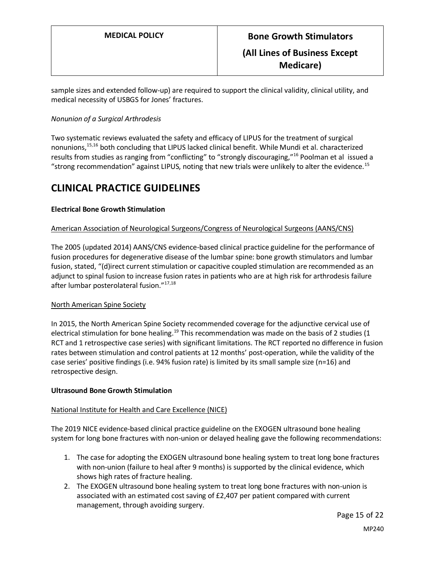sample sizes and extended follow-up) are required to support the clinical validity, clinical utility, and medical necessity of USBGS for Jones' fractures.

#### *Nonunion of a Surgical Arthrodesis*

Two systematic reviews evaluated the safety and efficacy of LIPUS for the treatment of surgical nonunions, 15,16 both concluding that LIPUS lacked clinical benefit. While Mundi et al. characterized results from studies as ranging from "conflicting" to "strongly discouraging,"<sup>16</sup> Poolman et al issued a "strong recommendation" against LIPUS, noting that new trials were unlikely to alter the evidence.<sup>15</sup>

## **CLINICAL PRACTICE GUIDELINES**

#### **Electrical Bone Growth Stimulation**

#### American Association of Neurological Surgeons/Congress of Neurological Surgeons (AANS/CNS)

The 2005 (updated 2014) AANS/CNS evidence-based clinical practice guideline for the performance of fusion procedures for degenerative disease of the lumbar spine: bone growth stimulators and lumbar fusion, stated, "(d)irect current stimulation or capacitive coupled stimulation are recommended as an adjunct to spinal fusion to increase fusion rates in patients who are at high risk for arthrodesis failure after lumbar posterolateral fusion."17,18

#### North American Spine Society

In 2015, the North American Spine Society recommended coverage for the adjunctive cervical use of electrical stimulation for bone healing.<sup>19</sup> This recommendation was made on the basis of 2 studies (1) RCT and 1 retrospective case series) with significant limitations. The RCT reported no difference in fusion rates between stimulation and control patients at 12 months' post-operation, while the validity of the case series' positive findings (i.e. 94% fusion rate) is limited by its small sample size (n=16) and retrospective design.

#### **Ultrasound Bone Growth Stimulation**

#### National Institute for Health and Care Excellence (NICE)

The 2019 NICE evidence-based clinical practice guideline on the EXOGEN ultrasound bone healing system for long bone fractures with non-union or delayed healing gave the following recommendations:

- 1. The case for adopting the EXOGEN ultrasound bone healing system to treat long bone fractures with non-union (failure to heal after 9 months) is supported by the clinical evidence, which shows high rates of fracture healing.
- 2. The EXOGEN ultrasound bone healing system to treat long bone fractures with non-union is associated with an estimated cost saving of £2,407 per patient compared with current management, through avoiding surgery.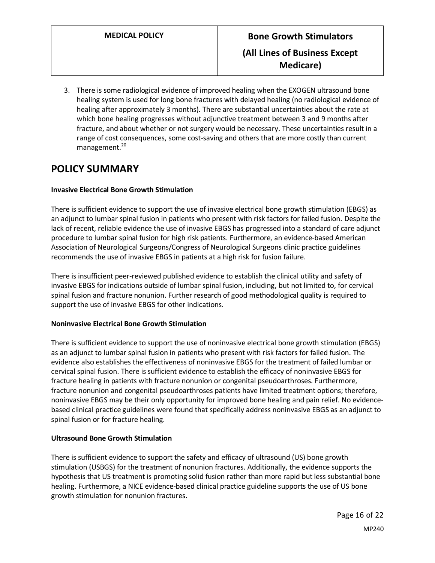3. There is some radiological evidence of improved healing when the EXOGEN ultrasound bone healing system is used for long bone fractures with delayed healing (no radiological evidence of healing after approximately 3 months). There are substantial uncertainties about the rate at which bone healing progresses without adjunctive treatment between 3 and 9 months after fracture, and about whether or not surgery would be necessary. These uncertainties result in a range of cost consequences, some cost-saving and others that are more costly than current management.<sup>20</sup>

# <span id="page-15-0"></span>**POLICY SUMMARY**

#### **Invasive Electrical Bone Growth Stimulation**

There is sufficient evidence to support the use of invasive electrical bone growth stimulation (EBGS) as an adjunct to lumbar spinal fusion in patients who present with risk factors for failed fusion. Despite the lack of recent, reliable evidence the use of invasive EBGS has progressed into a standard of care adjunct procedure to lumbar spinal fusion for high risk patients. Furthermore, an evidence-based American Association of Neurological Surgeons/Congress of Neurological Surgeons clinic practice guidelines recommends the use of invasive EBGS in patients at a high risk for fusion failure.

There is insufficient peer-reviewed published evidence to establish the clinical utility and safety of invasive EBGS for indications outside of lumbar spinal fusion, including, but not limited to, for cervical spinal fusion and fracture nonunion. Further research of good methodological quality is required to support the use of invasive EBGS for other indications.

#### **Noninvasive Electrical Bone Growth Stimulation**

There is sufficient evidence to support the use of noninvasive electrical bone growth stimulation (EBGS) as an adjunct to lumbar spinal fusion in patients who present with risk factors for failed fusion. The evidence also establishes the effectiveness of noninvasive EBGS for the treatment of failed lumbar or cervical spinal fusion. There is sufficient evidence to establish the efficacy of noninvasive EBGS for fracture healing in patients with fracture nonunion or congenital pseudoarthroses. Furthermore, fracture nonunion and congenital pseudoarthroses patients have limited treatment options; therefore, noninvasive EBGS may be their only opportunity for improved bone healing and pain relief. No evidencebased clinical practice guidelines were found that specifically address noninvasive EBGS as an adjunct to spinal fusion or for fracture healing.

#### **Ultrasound Bone Growth Stimulation**

There is sufficient evidence to support the safety and efficacy of ultrasound (US) bone growth stimulation (USBGS) for the treatment of nonunion fractures. Additionally, the evidence supports the hypothesis that US treatment is promoting solid fusion rather than more rapid but less substantial bone healing. Furthermore, a NICE evidence-based clinical practice guideline supports the use of US bone growth stimulation for nonunion fractures.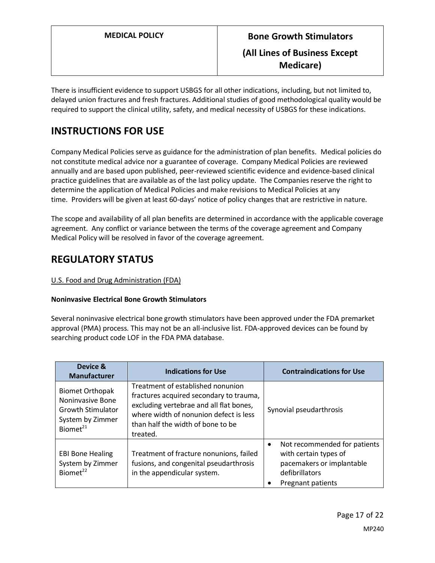There is insufficient evidence to support USBGS for all other indications, including, but not limited to, delayed union fractures and fresh fractures. Additional studies of good methodological quality would be required to support the clinical utility, safety, and medical necessity of USBGS for these indications.

# **INSTRUCTIONS FOR USE**

Company Medical Policies serve as guidance for the administration of plan benefits. Medical policies do not constitute medical advice nor a guarantee of coverage. Company Medical Policies are reviewed annually and are based upon published, peer-reviewed scientific evidence and evidence-based clinical practice guidelines that are available as of the last policy update. The Companies reserve the right to determine the application of Medical Policies and make revisions to Medical Policies at any time. Providers will be given at least 60-days' notice of policy changes that are restrictive in nature.

The scope and availability of all plan benefits are determined in accordance with the applicable coverage agreement. Any conflict or variance between the terms of the coverage agreement and Company Medical Policy will be resolved in favor of the coverage agreement.

# **REGULATORY STATUS**

### U.S. Food and Drug Administration (FDA)

#### **Noninvasive Electrical Bone Growth Stimulators**

Several noninvasive electrical bone growth stimulators have been approved under the FDA premarket approval (PMA) process. This may not be an all-inclusive list. FDA-approved devices can be found by searching product code LOF in the FDA PMA database.

| Device &<br><b>Manufacturer</b>                                                                                           | <b>Indications for Use</b>                                                                                                                                                                                         | <b>Contraindications for Use</b>                                                                                          |
|---------------------------------------------------------------------------------------------------------------------------|--------------------------------------------------------------------------------------------------------------------------------------------------------------------------------------------------------------------|---------------------------------------------------------------------------------------------------------------------------|
| <b>Biomet Orthopak</b><br><b>Noninvasive Bone</b><br><b>Growth Stimulator</b><br>System by Zimmer<br>Biomet <sup>21</sup> | Treatment of established nonunion<br>fractures acquired secondary to trauma,<br>excluding vertebrae and all flat bones,<br>where width of nonunion defect is less<br>than half the width of bone to be<br>treated. | Synovial pseudarthrosis                                                                                                   |
| <b>EBI Bone Healing</b><br>System by Zimmer<br>Biomet <sup>22</sup>                                                       | Treatment of fracture nonunions, failed<br>fusions, and congenital pseudarthrosis<br>in the appendicular system.                                                                                                   | Not recommended for patients<br>with certain types of<br>pacemakers or implantable<br>defibrillators<br>Pregnant patients |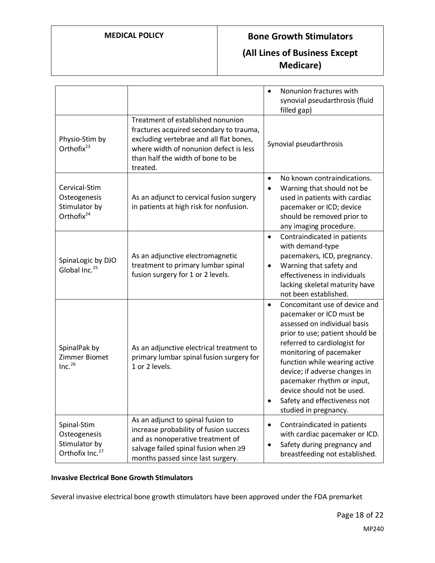## **MEDICAL POLICY Bone Growth Stimulators**

# **(All Lines of Business Except Medicare)**

|                                                                             |                                                                                                                                                                                                                    | Nonunion fractures with<br>$\bullet$<br>synovial pseudarthrosis (fluid<br>filled gap)                                                                                                                                                                                                                                                                                                       |
|-----------------------------------------------------------------------------|--------------------------------------------------------------------------------------------------------------------------------------------------------------------------------------------------------------------|---------------------------------------------------------------------------------------------------------------------------------------------------------------------------------------------------------------------------------------------------------------------------------------------------------------------------------------------------------------------------------------------|
| Physio-Stim by<br>Orthofix <sup>23</sup>                                    | Treatment of established nonunion<br>fractures acquired secondary to trauma,<br>excluding vertebrae and all flat bones,<br>where width of nonunion defect is less<br>than half the width of bone to be<br>treated. | Synovial pseudarthrosis                                                                                                                                                                                                                                                                                                                                                                     |
| Cervical-Stim<br>Osteogenesis<br>Stimulator by<br>Orthofix <sup>24</sup>    | As an adjunct to cervical fusion surgery<br>in patients at high risk for nonfusion.                                                                                                                                | No known contraindications.<br>$\bullet$<br>Warning that should not be<br>$\bullet$<br>used in patients with cardiac<br>pacemaker or ICD; device<br>should be removed prior to<br>any imaging procedure.                                                                                                                                                                                    |
| SpinaLogic by DJO<br>Global Inc. <sup>25</sup>                              | As an adjunctive electromagnetic<br>treatment to primary lumbar spinal<br>fusion surgery for 1 or 2 levels.                                                                                                        | Contraindicated in patients<br>$\bullet$<br>with demand-type<br>pacemakers, ICD, pregnancy.<br>Warning that safety and<br>٠<br>effectiveness in individuals<br>lacking skeletal maturity have<br>not been established.                                                                                                                                                                      |
| SpinalPak by<br>Zimmer Biomet<br>Inc. <sup>26</sup>                         | As an adjunctive electrical treatment to<br>primary lumbar spinal fusion surgery for<br>1 or 2 levels.                                                                                                             | Concomitant use of device and<br>$\bullet$<br>pacemaker or ICD must be<br>assessed on individual basis<br>prior to use; patient should be<br>referred to cardiologist for<br>monitoring of pacemaker<br>function while wearing active<br>device; if adverse changes in<br>pacemaker rhythm or input,<br>device should not be used.<br>Safety and effectiveness not<br>studied in pregnancy. |
| Spinal-Stim<br>Osteogenesis<br>Stimulator by<br>Orthofix Inc. <sup>27</sup> | As an adjunct to spinal fusion to<br>increase probability of fusion success<br>and as nonoperative treatment of<br>salvage failed spinal fusion when ≥9<br>months passed since last surgery.                       | Contraindicated in patients<br>$\bullet$<br>with cardiac pacemaker or ICD.<br>Safety during pregnancy and<br>$\bullet$<br>breastfeeding not established.                                                                                                                                                                                                                                    |

### **Invasive Electrical Bone Growth Stimulators**

Several invasive electrical bone growth stimulators have been approved under the FDA premarket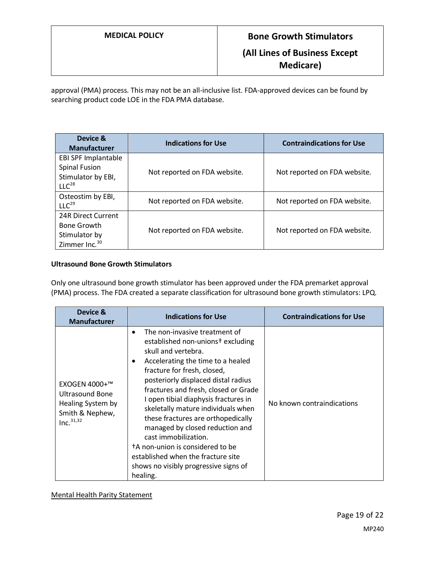approval (PMA) process. This may not be an all-inclusive list. FDA-approved devices can be found by searching product code LOE in the FDA PMA database.

| Device &<br><b>Manufacturer</b> | <b>Indications for Use</b>   | <b>Contraindications for Use</b> |
|---------------------------------|------------------------------|----------------------------------|
| EBI SPF Implantable             |                              |                                  |
| <b>Spinal Fusion</b>            | Not reported on FDA website. | Not reported on FDA website.     |
| Stimulator by EBI,              |                              |                                  |
| LLC <sup>28</sup>               |                              |                                  |
| Osteostim by EBI,               |                              |                                  |
| LLC <sup>29</sup>               | Not reported on FDA website. | Not reported on FDA website.     |
| 24R Direct Current              |                              |                                  |
| <b>Bone Growth</b>              | Not reported on FDA website. | Not reported on FDA website.     |
| Stimulator by                   |                              |                                  |
| Zimmer Inc. <sup>30</sup>       |                              |                                  |

#### **Ultrasound Bone Growth Stimulators**

Only one ultrasound bone growth stimulator has been approved under the FDA premarket approval (PMA) process. The FDA created a separate classification for ultrasound bone growth stimulators: LPQ.

| Device &<br><b>Manufacturer</b>                                                                          | <b>Indications for Use</b>                                                                                                                                                                                                                                                                                                                                                                                                                                                                                                                                                                                   | <b>Contraindications for Use</b> |
|----------------------------------------------------------------------------------------------------------|--------------------------------------------------------------------------------------------------------------------------------------------------------------------------------------------------------------------------------------------------------------------------------------------------------------------------------------------------------------------------------------------------------------------------------------------------------------------------------------------------------------------------------------------------------------------------------------------------------------|----------------------------------|
| EXOGEN 4000+™<br><b>Ultrasound Bone</b><br>Healing System by<br>Smith & Nephew,<br>Inc. <sup>31,32</sup> | The non-invasive treatment of<br>$\bullet$<br>established non-unions <sup>+</sup> excluding<br>skull and vertebra.<br>Accelerating the time to a healed<br>$\bullet$<br>fracture for fresh, closed,<br>posteriorly displaced distal radius<br>fractures and fresh, closed or Grade<br>I open tibial diaphysis fractures in<br>skeletally mature individuals when<br>these fractures are orthopedically<br>managed by closed reduction and<br>cast immobilization.<br><sup>†</sup> A non-union is considered to be<br>established when the fracture site<br>shows no visibly progressive signs of<br>healing. | No known contraindications       |

Mental Health Parity Statement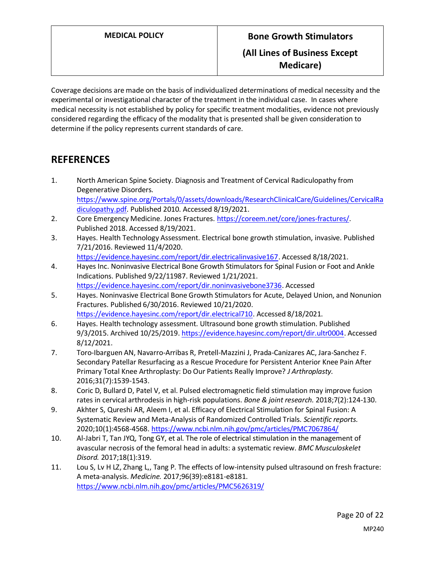# **MEDICAL POLICY Bone Growth Stimulators (All Lines of Business Except Medicare)**

Coverage decisions are made on the basis of individualized determinations of medical necessity and the experimental or investigational character of the treatment in the individual case. In cases where medical necessity is not established by policy for specific treatment modalities, evidence not previously considered regarding the efficacy of the modality that is presented shall be given consideration to determine if the policy represents current standards of care.

# **REFERENCES**

- 1. North American Spine Society. Diagnosis and Treatment of Cervical Radiculopathy from Degenerative Disorders. [https://www.spine.org/Portals/0/assets/downloads/ResearchClinicalCare/Guidelines/CervicalRa](https://www.spine.org/Portals/0/assets/downloads/ResearchClinicalCare/Guidelines/CervicalRadiculopathy.pdf) [diculopathy.pdf.](https://www.spine.org/Portals/0/assets/downloads/ResearchClinicalCare/Guidelines/CervicalRadiculopathy.pdf) Published 2010. Accessed 8/19/2021.
- 2. Core Emergency Medicine. Jones Fractures. [https://coreem.net/core/jones-fractures/.](https://coreem.net/core/jones-fractures/) Published 2018. Accessed 8/19/2021.
- 3. Hayes. Health Technology Assessment. Electrical bone growth stimulation, invasive. Published 7/21/2016. Reviewed 11/4/2020. [https://evidence.hayesinc.com/report/dir.electricalinvasive167.](https://evidence.hayesinc.com/report/dir.electricalinvasive167) Accessed 8/18/2021.
- 4. Hayes Inc. Noninvasive Electrical Bone Growth Stimulators for Spinal Fusion or Foot and Ankle Indications. Published 9/22/11987. Reviewed 1/21/2021. [https://evidence.hayesinc.com/report/dir.noninvasivebone3736.](https://evidence.hayesinc.com/report/dir.noninvasivebone3736) Accessed
- 5. Hayes. Noninvasive Electrical Bone Growth Stimulators for Acute, Delayed Union, and Nonunion Fractures. Published 6/30/2016. Reviewed 10/21/2020. [https://evidence.hayesinc.com/report/dir.electrical710.](https://evidence.hayesinc.com/report/dir.electrical710) Accessed 8/18/2021.
- 6. Hayes. Health technology assessment. Ultrasound bone growth stimulation. Published 9/3/2015. Archived 10/25/2019[. https://evidence.hayesinc.com/report/dir.ultr0004.](https://evidence.hayesinc.com/report/dir.ultr0004) Accessed 8/12/2021.
- 7. Toro-Ibarguen AN, Navarro-Arribas R, Pretell-Mazzini J, Prada-Canizares AC, Jara-Sanchez F. Secondary Patellar Resurfacing as a Rescue Procedure for Persistent Anterior Knee Pain After Primary Total Knee Arthroplasty: Do Our Patients Really Improve? *J Arthroplasty.*  2016;31(7):1539-1543.
- 8. Coric D, Bullard D, Patel V, et al. Pulsed electromagnetic field stimulation may improve fusion rates in cervical arthrodesis in high-risk populations. *Bone & joint research.* 2018;7(2):124-130.
- 9. Akhter S, Qureshi AR, Aleem I, et al. Efficacy of Electrical Stimulation for Spinal Fusion: A Systematic Review and Meta-Analysis of Randomized Controlled Trials. *Scientific reports.*  2020;10(1):4568-4568.<https://www.ncbi.nlm.nih.gov/pmc/articles/PMC7067864/>
- 10. Al-Jabri T, Tan JYQ, Tong GY, et al. The role of electrical stimulation in the management of avascular necrosis of the femoral head in adults: a systematic review. *BMC Musculoskelet Disord.* 2017;18(1):319.
- 11. Lou S, Lv H LZ, Zhang L,, Tang P. The effects of low-intensity pulsed ultrasound on fresh fracture: A meta-analysis. *Medicine.* 2017;96(39):e8181-e8181. <https://www.ncbi.nlm.nih.gov/pmc/articles/PMC5626319/>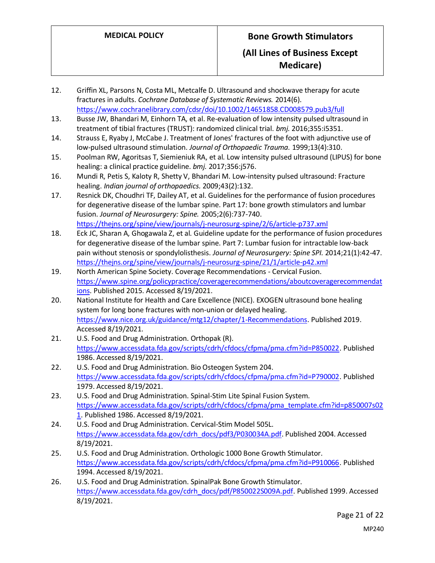## **(All Lines of Business Except Medicare)**

- 12. Griffin XL, Parsons N, Costa ML, Metcalfe D. Ultrasound and shockwave therapy for acute fractures in adults. *Cochrane Database of Systematic Reviews.* 2014(6). <https://www.cochranelibrary.com/cdsr/doi/10.1002/14651858.CD008579.pub3/full>
- 13. Busse JW, Bhandari M, Einhorn TA, et al. Re-evaluation of low intensity pulsed ultrasound in treatment of tibial fractures (TRUST): randomized clinical trial. *bmj.* 2016;355:i5351.
- 14. Strauss E, Ryaby J, McCabe J. Treatment of Jones' fractures of the foot with adjunctive use of low-pulsed ultrasound stimulation. *Journal of Orthopaedic Trauma.* 1999;13(4):310.
- 15. Poolman RW, Agoritsas T, Siemieniuk RA, et al. Low intensity pulsed ultrasound (LIPUS) for bone healing: a clinical practice guideline. *bmj.* 2017;356:j576.
- 16. Mundi R, Petis S, Kaloty R, Shetty V, Bhandari M. Low-intensity pulsed ultrasound: Fracture healing. *Indian journal of orthopaedics.* 2009;43(2):132.
- 17. Resnick DK, Choudhri TF, Dailey AT, et al. Guidelines for the performance of fusion procedures for degenerative disease of the lumbar spine. Part 17: bone growth stimulators and lumbar fusion. *Journal of Neurosurgery: Spine.* 2005;2(6):737-740. <https://thejns.org/spine/view/journals/j-neurosurg-spine/2/6/article-p737.xml>
- 18. Eck JC, Sharan A, Ghogawala Z, et al. Guideline update for the performance of fusion procedures for degenerative disease of the lumbar spine. Part 7: Lumbar fusion for intractable low-back pain without stenosis or spondylolisthesis. *Journal of Neurosurgery: Spine SPI.* 2014;21(1):42-47. <https://thejns.org/spine/view/journals/j-neurosurg-spine/21/1/article-p42.xml>
- 19. North American Spine Society. Coverage Recommendations Cervical Fusion. [https://www.spine.org/policypractice/coveragerecommendations/aboutcoveragerecommendat](https://www.spine.org/policypractice/coveragerecommendations/aboutcoveragerecommendations) [ions.](https://www.spine.org/policypractice/coveragerecommendations/aboutcoveragerecommendations) Published 2015. Accessed 8/19/2021.
- 20. National Institute for Health and Care Excellence (NICE). EXOGEN ultrasound bone healing system for long bone fractures with non-union or delayed healing. [https://www.nice.org.uk/guidance/mtg12/chapter/1-Recommendations.](https://www.nice.org.uk/guidance/mtg12/chapter/1-Recommendations) Published 2019. Accessed 8/19/2021.
- 21. U.S. Food and Drug Administration. Orthopak (R). [https://www.accessdata.fda.gov/scripts/cdrh/cfdocs/cfpma/pma.cfm?id=P850022.](https://www.accessdata.fda.gov/scripts/cdrh/cfdocs/cfpma/pma.cfm?id=P850022) Published 1986. Accessed 8/19/2021.
- 22. U.S. Food and Drug Administration. Bio Osteogen System 204. [https://www.accessdata.fda.gov/scripts/cdrh/cfdocs/cfpma/pma.cfm?id=P790002.](https://www.accessdata.fda.gov/scripts/cdrh/cfdocs/cfpma/pma.cfm?id=P790002) Published 1979. Accessed 8/19/2021.
- 23. U.S. Food and Drug Administration. Spinal-Stim Lite Spinal Fusion System. [https://www.accessdata.fda.gov/scripts/cdrh/cfdocs/cfpma/pma\\_template.cfm?id=p850007s02](https://www.accessdata.fda.gov/scripts/cdrh/cfdocs/cfpma/pma_template.cfm?id=p850007s021) [1.](https://www.accessdata.fda.gov/scripts/cdrh/cfdocs/cfpma/pma_template.cfm?id=p850007s021) Published 1986. Accessed 8/19/2021.
- 24. U.S. Food and Drug Administration. Cervical-Stim Model 505L. [https://www.accessdata.fda.gov/cdrh\\_docs/pdf3/P030034A.pdf.](https://www.accessdata.fda.gov/cdrh_docs/pdf3/P030034A.pdf) Published 2004. Accessed 8/19/2021.
- 25. U.S. Food and Drug Administration. Orthologic 1000 Bone Growth Stimulator. [https://www.accessdata.fda.gov/scripts/cdrh/cfdocs/cfpma/pma.cfm?id=P910066.](https://www.accessdata.fda.gov/scripts/cdrh/cfdocs/cfpma/pma.cfm?id=P910066) Published 1994. Accessed 8/19/2021.
- 26. U.S. Food and Drug Administration. SpinalPak Bone Growth Stimulator. [https://www.accessdata.fda.gov/cdrh\\_docs/pdf/P850022S009A.pdf.](https://www.accessdata.fda.gov/cdrh_docs/pdf/P850022S009A.pdf) Published 1999. Accessed 8/19/2021.

Page 21 of 22 MP240